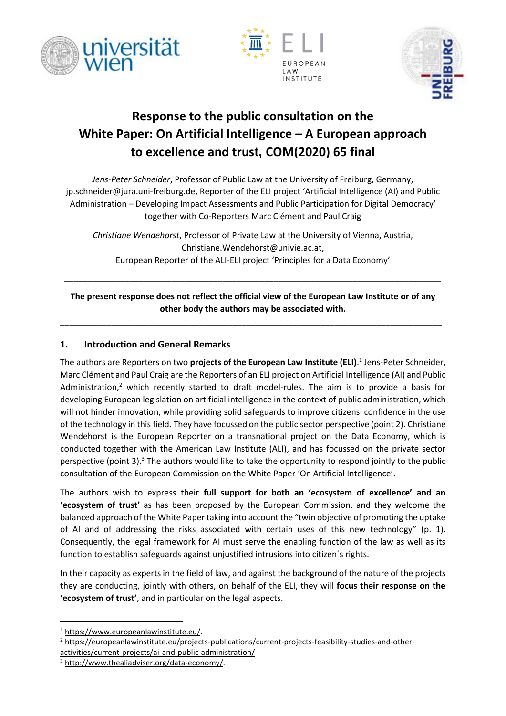





# **Response to the public consultation on the White Paper: On Artificial Intelligence – A European approach to excellence and trust, COM(2020) 65 final**

*Jens-Peter Schneider*, Professor of Public Law at the University of Freiburg, Germany, jp.schneider@jura.uni-freiburg.de, Reporter of the ELI project 'Artificial Intelligence (AI) and Public Administration – Developing Impact Assessments and Public Participation for Digital Democracy' together with Co-Reporters Marc Clément and Paul Craig

*Christiane Wendehorst*, Professor of Private Law at the University of Vienna, Austria, Christiane.Wendehorst@univie.ac.at, European Reporter of the ALI-ELI project 'Principles for a Data Economy'

**The present response does not reflect the official view of the European Law Institute or of any other body the authors may be associated with.**

\_\_\_\_\_\_\_\_\_\_\_\_\_\_\_\_\_\_\_\_\_\_\_\_\_\_\_\_\_\_\_\_\_\_\_\_\_\_\_\_\_\_\_\_\_\_\_\_\_\_\_\_\_\_\_\_\_\_\_\_\_\_\_\_\_\_\_\_\_\_\_\_\_\_\_\_\_\_\_\_\_\_

\_\_\_\_\_\_\_\_\_\_\_\_\_\_\_\_\_\_\_\_\_\_\_\_\_\_\_\_\_\_\_\_\_\_\_\_\_\_\_\_\_\_\_\_\_\_\_\_\_\_\_\_\_\_\_\_\_\_\_\_\_\_\_\_\_\_\_\_\_\_\_\_\_\_\_\_\_\_\_\_\_

## **1. Introduction and General Remarks**

The authors are Reporters on two **projects of the European Law Institute (ELI)**. 1 Jens-Peter Schneider, Marc Clément and Paul Craig are the Reporters of an ELI project on Artificial Intelligence (AI) and Public Administration,<sup>2</sup> which recently started to draft model-rules. The aim is to provide a basis for developing European legislation on artificial intelligence in the context of public administration, which will not hinder innovation, while providing solid safeguards to improve citizens' confidence in the use of the technology in this field. They have focussed on the public sector perspective (point 2). Christiane Wendehorst is the European Reporter on a transnational project on the Data Economy, which is conducted together with the American Law Institute (ALI), and has focussed on the private sector perspective (point 3).<sup>3</sup> The authors would like to take the opportunity to respond jointly to the public consultation of the European Commission on the White Paper 'On Artificial Intelligence'.

The authors wish to express their **full support for both an 'ecosystem of excellence' and an 'ecosystem of trust'** as has been proposed by the European Commission, and they welcome the balanced approach of the White Paper taking into account the "twin objective of promoting the uptake of AI and of addressing the risks associated with certain uses of this new technology" (p. 1). Consequently, the legal framework for AI must serve the enabling function of the law as well as its function to establish safeguards against unjustified intrusions into citizen´s rights.

In their capacity as experts in the field of law, and against the background of the nature of the projects they are conducting, jointly with others, on behalf of the ELI, they will **focus their response on the 'ecosystem of trust'**, and in particular on the legal aspects.

**.** 

[activities/current-projects/ai-and-public-administration/](https://europeanlawinstitute.eu/projects-publications/current-projects-feasibility-studies-and-other-activities/current-projects/ai-and-public-administration/)

<sup>1</sup> [https://www.europeanlawinstitute.eu/.](https://www.europeanlawinstitute.eu/)

<sup>2</sup> [https://europeanlawinstitute.eu/projects-publications/current-projects-feasibility-studies-and-other-](https://europeanlawinstitute.eu/projects-publications/current-projects-feasibility-studies-and-other-activities/current-projects/ai-and-public-administration/)

<sup>3</sup> [http://www.thealiadviser.org/data-economy/.](http://www.thealiadviser.org/data-economy/)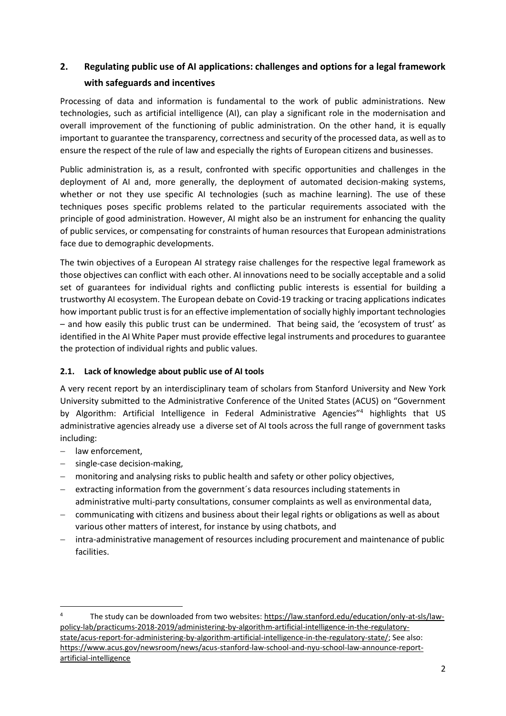# **2. Regulating public use of AI applications: challenges and options for a legal framework with safeguards and incentives**

Processing of data and information is fundamental to the work of public administrations. New technologies, such as artificial intelligence (AI), can play a significant role in the modernisation and overall improvement of the functioning of public administration. On the other hand, it is equally important to guarantee the transparency, correctness and security of the processed data, as well as to ensure the respect of the rule of law and especially the rights of European citizens and businesses.

Public administration is, as a result, confronted with specific opportunities and challenges in the deployment of AI and, more generally, the deployment of automated decision-making systems, whether or not they use specific AI technologies (such as machine learning). The use of these techniques poses specific problems related to the particular requirements associated with the principle of good administration. However, AI might also be an instrument for enhancing the quality of public services, or compensating for constraints of human resources that European administrations face due to demographic developments.

The twin objectives of a European AI strategy raise challenges for the respective legal framework as those objectives can conflict with each other. AI innovations need to be socially acceptable and a solid set of guarantees for individual rights and conflicting public interests is essential for building a trustworthy AI ecosystem. The European debate on Covid-19 tracking or tracing applications indicates how important public trust is for an effective implementation of socially highly important technologies – and how easily this public trust can be undermined. That being said, the 'ecosystem of trust' as identified in the AI White Paper must provide effective legal instruments and procedures to guarantee the protection of individual rights and public values.

### **2.1. Lack of knowledge about public use of AI tools**

A very recent report by an interdisciplinary team of scholars from Stanford University and New York University submitted to the Administrative Conference of the United States (ACUS) on "Government by Algorithm: Artificial Intelligence in Federal Administrative Agencies"<sup>4</sup> highlights that US administrative agencies already use a diverse set of AI tools across the full range of government tasks including:

- law enforcement,

- single-case decision-making,
- monitoring and analysing risks to public health and safety or other policy objectives,
- $-$  extracting information from the government's data resources including statements in administrative multi-party consultations, consumer complaints as well as environmental data,
- communicating with citizens and business about their legal rights or obligations as well as about various other matters of interest, for instance by using chatbots, and
- intra-administrative management of resources including procurement and maintenance of public facilities.

The study can be downloaded from two websites: [https://law.stanford.edu/education/only-at-sls/law](https://law.stanford.edu/education/only-at-sls/law-policy-lab/practicums-2018-2019/administering-by-algorithm-artificial-intelligence-in-the-regulatory-state/acus-report-for-administering-by-algorithm-artificial-intelligence-in-the-regulatory-state/)[policy-lab/practicums-2018-2019/administering-by-algorithm-artificial-intelligence-in-the-regulatory](https://law.stanford.edu/education/only-at-sls/law-policy-lab/practicums-2018-2019/administering-by-algorithm-artificial-intelligence-in-the-regulatory-state/acus-report-for-administering-by-algorithm-artificial-intelligence-in-the-regulatory-state/)[state/acus-report-for-administering-by-algorithm-artificial-intelligence-in-the-regulatory-state/;](https://law.stanford.edu/education/only-at-sls/law-policy-lab/practicums-2018-2019/administering-by-algorithm-artificial-intelligence-in-the-regulatory-state/acus-report-for-administering-by-algorithm-artificial-intelligence-in-the-regulatory-state/) See also: [https://www.acus.gov/newsroom/news/acus-stanford-law-school-and-nyu-school-law-announce-report](https://www.acus.gov/newsroom/news/acus-stanford-law-school-and-nyu-school-law-announce-report-artificial-intelligence)[artificial-intelligence](https://www.acus.gov/newsroom/news/acus-stanford-law-school-and-nyu-school-law-announce-report-artificial-intelligence)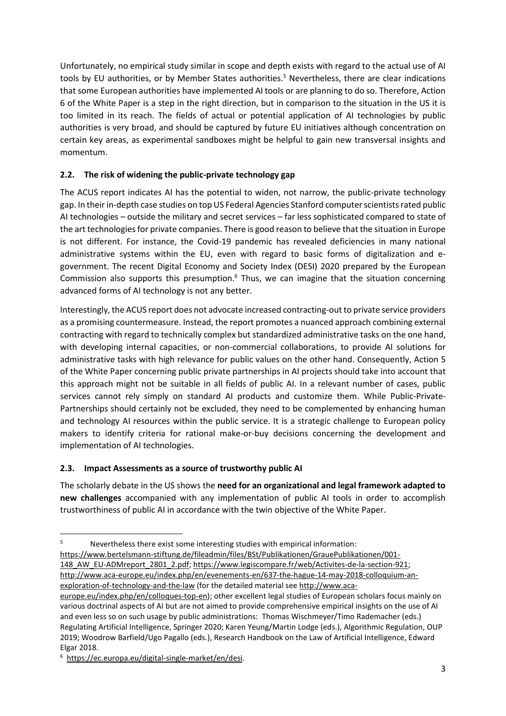Unfortunately, no empirical study similar in scope and depth exists with regard to the actual use of AI tools by EU authorities, or by Member States authorities.<sup>5</sup> Nevertheless, there are clear indications that some European authorities have implemented AI tools or are planning to do so. Therefore, Action 6 of the White Paper is a step in the right direction, but in comparison to the situation in the US it is too limited in its reach. The fields of actual or potential application of AI technologies by public authorities is very broad, and should be captured by future EU initiatives although concentration on certain key areas, as experimental sandboxes might be helpful to gain new transversal insights and momentum.

#### **2.2. The risk of widening the public-private technology gap**

The ACUS report indicates AI has the potential to widen, not narrow, the public-private technology gap. In their in-depth case studies on top US Federal Agencies Stanford computer scientists rated public AI technologies – outside the military and secret services – far less sophisticated compared to state of the art technologies for private companies. There is good reason to believe that the situation in Europe is not different. For instance, the Covid-19 pandemic has revealed deficiencies in many national administrative systems within the EU, even with regard to basic forms of digitalization and egovernment. The recent Digital Economy and Society Index (DESI) 2020 prepared by the European Commission also supports this presumption. $6$  Thus, we can imagine that the situation concerning advanced forms of AI technology is not any better.

Interestingly, the ACUS report does not advocate increased contracting-out to private service providers as a promising countermeasure. Instead, the report promotes a nuanced approach combining external contracting with regard to technically complex but standardized administrative tasks on the one hand, with developing internal capacities, or non-commercial collaborations, to provide AI solutions for administrative tasks with high relevance for public values on the other hand. Consequently, Action 5 of the White Paper concerning public private partnerships in AI projects should take into account that this approach might not be suitable in all fields of public AI. In a relevant number of cases, public services cannot rely simply on standard AI products and customize them. While Public-Private-Partnerships should certainly not be excluded, they need to be complemented by enhancing human and technology AI resources within the public service. It is a strategic challenge to European policy makers to identify criteria for rational make-or-buy decisions concerning the development and implementation of AI technologies.

#### **2.3. Impact Assessments as a source of trustworthy public AI**

The scholarly debate in the US shows the **need for an organizational and legal framework adapted to new challenges** accompanied with any implementation of public AI tools in order to accomplish trustworthiness of public AI in accordance with the twin objective of the White Paper.

[148\\_AW\\_EU-ADMreport\\_2801\\_2.pdf;](https://www.bertelsmann-stiftung.de/fileadmin/files/BSt/Publikationen/GrauePublikationen/001-148_AW_EU-ADMreport_2801_2.pdf) [https://www.legiscompare.fr/web/Activites-de-la-section-921;](https://www.legiscompare.fr/web/Activites-de-la-section-921)

[http://www.aca-europe.eu/index.php/en/evenements-en/637-the-hague-14-may-2018-colloquium-an](http://www.aca-europe.eu/index.php/en/evenements-en/637-the-hague-14-may-2018-colloquium-an-exploration-of-technology-and-the-law)[exploration-of-technology-and-the-law](http://www.aca-europe.eu/index.php/en/evenements-en/637-the-hague-14-may-2018-colloquium-an-exploration-of-technology-and-the-law) (for the detailed material see [http://www.aca-](http://www.aca-europe.eu/index.php/en/colloques-top-en)

**<sup>.</sup>** <sup>5</sup> Nevertheless there exist some interesting studies with empirical information: [https://www.bertelsmann-stiftung.de/fileadmin/files/BSt/Publikationen/GrauePublikationen/001-](https://www.bertelsmann-stiftung.de/fileadmin/files/BSt/Publikationen/GrauePublikationen/001-148_AW_EU-ADMreport_2801_2.pdf)

[europe.eu/index.php/en/colloques-top-en\)](http://www.aca-europe.eu/index.php/en/colloques-top-en); other excellent legal studies of European scholars focus mainly on various doctrinal aspects of AI but are not aimed to provide comprehensive empirical insights on the use of AI and even less so on such usage by public administrations: Thomas Wischmeyer/Timo Rademacher (eds.) Regulating Artificial Intelligence, Springer 2020; Karen Yeung/Martin Lodge (eds.), Algorithmic Regulation, OUP 2019; Woodrow Barfield/Ugo Pagallo (eds.), Research Handbook on the Law of Artificial Intelligence, Edward Elgar 2018.

<sup>6</sup>  [https://ec.europa.eu/digital-single-market/en/desi.](https://ec.europa.eu/digital-single-market/en/desi)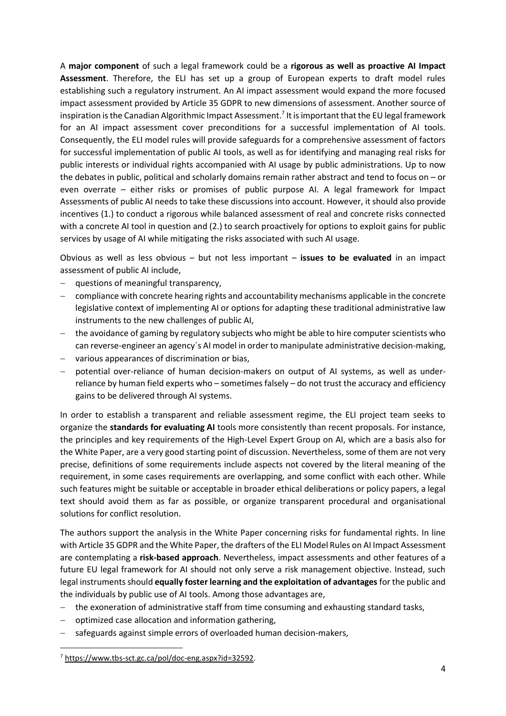A **major component** of such a legal framework could be a **rigorous as well as proactive AI Impact Assessment**. Therefore, the ELI has set up a group of European experts to draft model rules establishing such a regulatory instrument. An AI impact assessment would expand the more focused impact assessment provided by Article 35 GDPR to new dimensions of assessment. Another source of inspiration is the Canadian Algorithmic Impact Assessment. 7 It is important that the EU legal framework for an AI impact assessment cover preconditions for a successful implementation of AI tools. Consequently, the ELI model rules will provide safeguards for a comprehensive assessment of factors for successful implementation of public AI tools, as well as for identifying and managing real risks for public interests or individual rights accompanied with AI usage by public administrations. Up to now the debates in public, political and scholarly domains remain rather abstract and tend to focus on – or even overrate – either risks or promises of public purpose AI. A legal framework for Impact Assessments of public AI needs to take these discussions into account. However, it should also provide incentives (1.) to conduct a rigorous while balanced assessment of real and concrete risks connected with a concrete AI tool in question and (2.) to search proactively for options to exploit gains for public services by usage of AI while mitigating the risks associated with such AI usage.

Obvious as well as less obvious – but not less important – **issues to be evaluated** in an impact assessment of public AI include,

- questions of meaningful transparency,
- compliance with concrete hearing rights and accountability mechanisms applicable in the concrete legislative context of implementing AI or options for adapting these traditional administrative law instruments to the new challenges of public AI,
- the avoidance of gaming by regulatory subjects who might be able to hire computer scientists who can reverse-engineer an agency´s AI model in order to manipulate administrative decision-making,
- various appearances of discrimination or bias,
- potential over-reliance of human decision-makers on output of AI systems, as well as underreliance by human field experts who – sometimes falsely – do not trust the accuracy and efficiency gains to be delivered through AI systems.

In order to establish a transparent and reliable assessment regime, the ELI project team seeks to organize the **standards for evaluating AI** tools more consistently than recent proposals. For instance, the principles and key requirements of the High-Level Expert Group on AI, which are a basis also for the White Paper, are a very good starting point of discussion. Nevertheless, some of them are not very precise, definitions of some requirements include aspects not covered by the literal meaning of the requirement, in some cases requirements are overlapping, and some conflict with each other. While such features might be suitable or acceptable in broader ethical deliberations or policy papers, a legal text should avoid them as far as possible, or organize transparent procedural and organisational solutions for conflict resolution.

The authors support the analysis in the White Paper concerning risks for fundamental rights. In line with Article 35 GDPR and the White Paper, the drafters of the ELI Model Rules on AI Impact Assessment are contemplating a **risk-based approach**. Nevertheless, impact assessments and other features of a future EU legal framework for AI should not only serve a risk management objective. Instead, such legal instruments should **equally foster learning and the exploitation of advantages** for the public and the individuals by public use of AI tools. Among those advantages are,

- the exoneration of administrative staff from time consuming and exhausting standard tasks,
- optimized case allocation and information gathering,
- safeguards against simple errors of overloaded human decision-makers,

<sup>7</sup> [https://www.tbs-sct.gc.ca/pol/doc-eng.aspx?id=32592.](https://www.tbs-sct.gc.ca/pol/doc-eng.aspx?id=32592)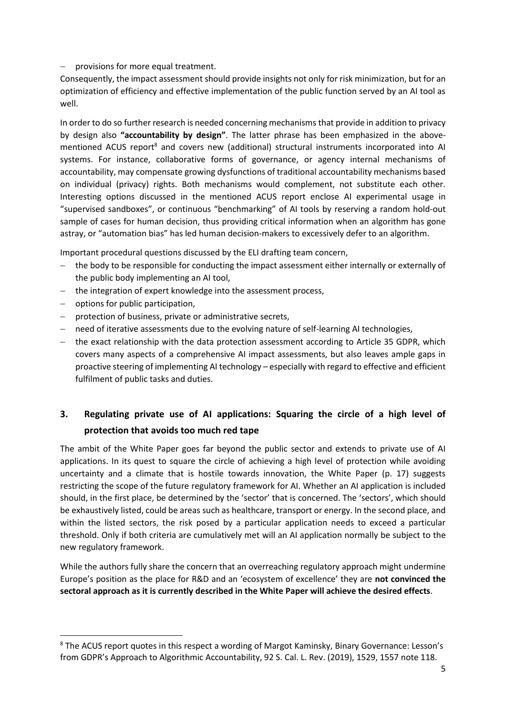provisions for more equal treatment.

Consequently, the impact assessment should provide insights not only for risk minimization, but for an optimization of efficiency and effective implementation of the public function served by an AI tool as well.

In order to do so further research is needed concerning mechanisms that provide in addition to privacy by design also **"accountability by design"**. The latter phrase has been emphasized in the abovementioned ACUS report<sup>8</sup> and covers new (additional) structural instruments incorporated into AI systems. For instance, collaborative forms of governance, or agency internal mechanisms of accountability, may compensate growing dysfunctions of traditional accountability mechanisms based on individual (privacy) rights. Both mechanisms would complement, not substitute each other. Interesting options discussed in the mentioned ACUS report enclose AI experimental usage in "supervised sandboxes", or continuous "benchmarking" of AI tools by reserving a random hold-out sample of cases for human decision, thus providing critical information when an algorithm has gone astray, or "automation bias" has led human decision-makers to excessively defer to an algorithm.

Important procedural questions discussed by the ELI drafting team concern,

- the body to be responsible for conducting the impact assessment either internally or externally of the public body implementing an AI tool,
- the integration of expert knowledge into the assessment process,
- $-$  options for public participation,

**.** 

- protection of business, private or administrative secrets,
- need of iterative assessments due to the evolving nature of self-learning AI technologies,
- the exact relationship with the data protection assessment according to Article 35 GDPR, which covers many aspects of a comprehensive AI impact assessments, but also leaves ample gaps in proactive steering of implementing AI technology – especially with regard to effective and efficient fulfilment of public tasks and duties.

# **3. Regulating private use of AI applications: Squaring the circle of a high level of protection that avoids too much red tape**

The ambit of the White Paper goes far beyond the public sector and extends to private use of AI applications. In its quest to square the circle of achieving a high level of protection while avoiding uncertainty and a climate that is hostile towards innovation, the White Paper (p. 17) suggests restricting the scope of the future regulatory framework for AI. Whether an AI application is included should, in the first place, be determined by the 'sector' that is concerned. The 'sectors', which should be exhaustively listed, could be areas such as healthcare, transport or energy. In the second place, and within the listed sectors, the risk posed by a particular application needs to exceed a particular threshold. Only if both criteria are cumulatively met will an AI application normally be subject to the new regulatory framework.

While the authors fully share the concern that an overreaching regulatory approach might undermine Europe's position as the place for R&D and an 'ecosystem of excellence' they are **not convinced the sectoral approach as it is currently described in the White Paper will achieve the desired effects**.

<sup>&</sup>lt;sup>8</sup> The ACUS report quotes in this respect a wording of Margot Kaminsky, Binary Governance: Lesson's from GDPR's Approach to Algorithmic Accountability, 92 S. Cal. L. Rev. (2019), 1529, 1557 note 118.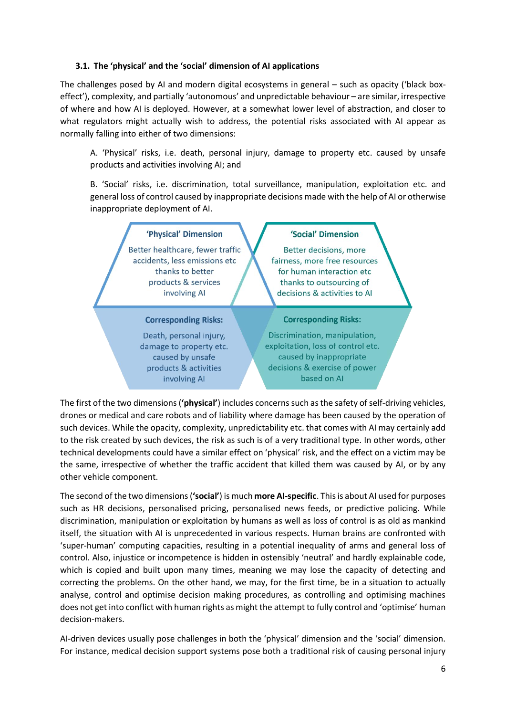#### **3.1. The 'physical' and the 'social' dimension of AI applications**

The challenges posed by AI and modern digital ecosystems in general – such as opacity ('black boxeffect'), complexity, and partially 'autonomous' and unpredictable behaviour – are similar, irrespective of where and how AI is deployed. However, at a somewhat lower level of abstraction, and closer to what regulators might actually wish to address, the potential risks associated with AI appear as normally falling into either of two dimensions:

A. 'Physical' risks, i.e. death, personal injury, damage to property etc. caused by unsafe products and activities involving AI; and

B. 'Social' risks, i.e. discrimination, total surveillance, manipulation, exploitation etc. and general loss of control caused by inappropriate decisions made with the help of AI or otherwise inappropriate deployment of AI.



The first of the two dimensions (**'physical'**) includes concerns such as the safety of self-driving vehicles, drones or medical and care robots and of liability where damage has been caused by the operation of such devices. While the opacity, complexity, unpredictability etc. that comes with AI may certainly add to the risk created by such devices, the risk as such is of a very traditional type. In other words, other technical developments could have a similar effect on 'physical' risk, and the effect on a victim may be the same, irrespective of whether the traffic accident that killed them was caused by AI, or by any other vehicle component.

The second of the two dimensions (**'social'**) is much **more AI-specific**. This is about AI used for purposes such as HR decisions, personalised pricing, personalised news feeds, or predictive policing. While discrimination, manipulation or exploitation by humans as well as loss of control is as old as mankind itself, the situation with AI is unprecedented in various respects. Human brains are confronted with 'super-human' computing capacities, resulting in a potential inequality of arms and general loss of control. Also, injustice or incompetence is hidden in ostensibly 'neutral' and hardly explainable code, which is copied and built upon many times, meaning we may lose the capacity of detecting and correcting the problems. On the other hand, we may, for the first time, be in a situation to actually analyse, control and optimise decision making procedures, as controlling and optimising machines does not get into conflict with human rights as might the attempt to fully control and 'optimise' human decision-makers.

AI-driven devices usually pose challenges in both the 'physical' dimension and the 'social' dimension. For instance, medical decision support systems pose both a traditional risk of causing personal injury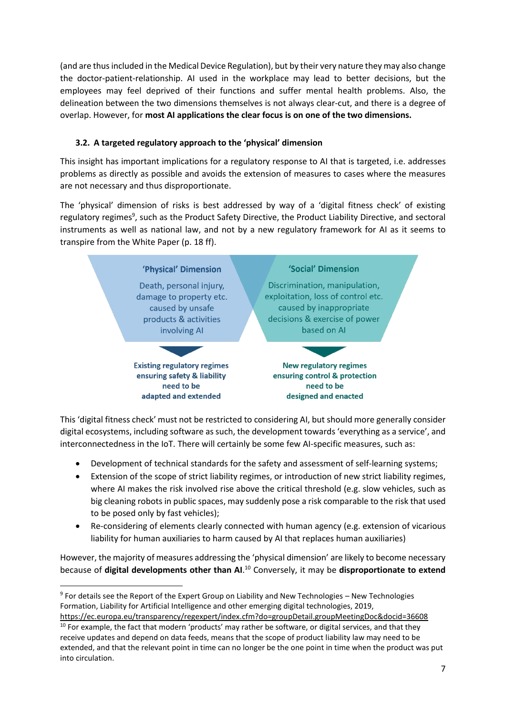(and are thus included in the Medical Device Regulation), but by their very nature they may also change the doctor-patient-relationship. AI used in the workplace may lead to better decisions, but the employees may feel deprived of their functions and suffer mental health problems. Also, the delineation between the two dimensions themselves is not always clear-cut, and there is a degree of overlap. However, for **most AI applications the clear focus is on one of the two dimensions.**

## **3.2. A targeted regulatory approach to the 'physical' dimension**

This insight has important implications for a regulatory response to AI that is targeted, i.e. addresses problems as directly as possible and avoids the extension of measures to cases where the measures are not necessary and thus disproportionate.

The 'physical' dimension of risks is best addressed by way of a 'digital fitness check' of existing regulatory regimes<sup>9</sup>, such as the Product Safety Directive, the Product Liability Directive, and sectoral instruments as well as national law, and not by a new regulatory framework for AI as it seems to transpire from the White Paper (p. 18 ff).



This 'digital fitness check' must not be restricted to considering AI, but should more generally consider digital ecosystems, including software as such, the development towards 'everything as a service', and interconnectedness in the IoT. There will certainly be some few AI-specific measures, such as:

- Development of technical standards for the safety and assessment of self-learning systems;
- Extension of the scope of strict liability regimes, or introduction of new strict liability regimes, where AI makes the risk involved rise above the critical threshold (e.g. slow vehicles, such as big cleaning robots in public spaces, may suddenly pose a risk comparable to the risk that used to be posed only by fast vehicles);
- Re-considering of elements clearly connected with human agency (e.g. extension of vicarious liability for human auxiliaries to harm caused by AI that replaces human auxiliaries)

However, the majority of measures addressing the 'physical dimension' are likely to become necessary because of **digital developments other than AI**. <sup>10</sup> Conversely, it may be **disproportionate to extend** 

<sup>&</sup>lt;sup>9</sup> For details see the Report of the Expert Group on Liability and New Technologies - New Technologies Formation, Liability for Artificial Intelligence and other emerging digital technologies, 2019, <https://ec.europa.eu/transparency/regexpert/index.cfm?do=groupDetail.groupMeetingDoc&docid=36608>

 $10$  For example, the fact that modern 'products' may rather be software, or digital services, and that they receive updates and depend on data feeds, means that the scope of product liability law may need to be extended, and that the relevant point in time can no longer be the one point in time when the product was put into circulation.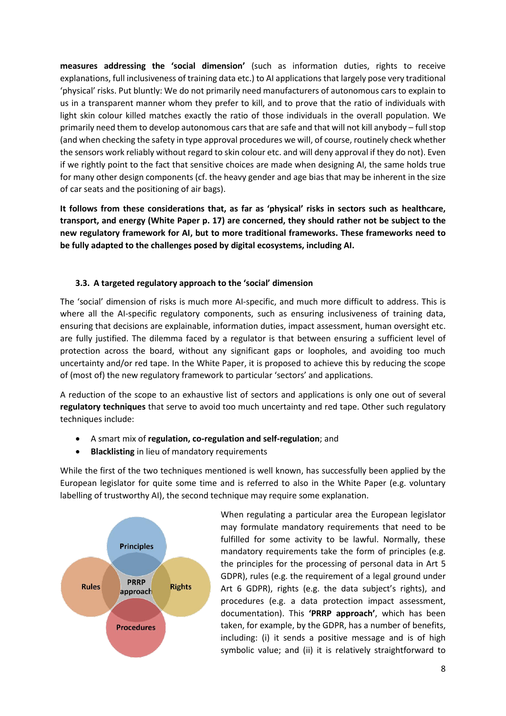**measures addressing the 'social dimension'** (such as information duties, rights to receive explanations, full inclusiveness of training data etc.) to AI applications that largely pose very traditional 'physical' risks. Put bluntly: We do not primarily need manufacturers of autonomous cars to explain to us in a transparent manner whom they prefer to kill, and to prove that the ratio of individuals with light skin colour killed matches exactly the ratio of those individuals in the overall population. We primarily need them to develop autonomous cars that are safe and that will not kill anybody – full stop (and when checking the safety in type approval procedures we will, of course, routinely check whether the sensors work reliably without regard to skin colour etc. and will deny approval if they do not). Even if we rightly point to the fact that sensitive choices are made when designing AI, the same holds true for many other design components (cf. the heavy gender and age bias that may be inherent in the size of car seats and the positioning of air bags).

**It follows from these considerations that, as far as 'physical' risks in sectors such as healthcare, transport, and energy (White Paper p. 17) are concerned, they should rather not be subject to the new regulatory framework for AI, but to more traditional frameworks. These frameworks need to be fully adapted to the challenges posed by digital ecosystems, including AI.**

#### **3.3. A targeted regulatory approach to the 'social' dimension**

The 'social' dimension of risks is much more AI-specific, and much more difficult to address. This is where all the AI-specific regulatory components, such as ensuring inclusiveness of training data, ensuring that decisions are explainable, information duties, impact assessment, human oversight etc. are fully justified. The dilemma faced by a regulator is that between ensuring a sufficient level of protection across the board, without any significant gaps or loopholes, and avoiding too much uncertainty and/or red tape. In the White Paper, it is proposed to achieve this by reducing the scope of (most of) the new regulatory framework to particular 'sectors' and applications.

A reduction of the scope to an exhaustive list of sectors and applications is only one out of several **regulatory techniques** that serve to avoid too much uncertainty and red tape. Other such regulatory techniques include:

- A smart mix of **regulation, co-regulation and self-regulation**; and
- **Blacklisting** in lieu of mandatory requirements

While the first of the two techniques mentioned is well known, has successfully been applied by the European legislator for quite some time and is referred to also in the White Paper (e.g. voluntary labelling of trustworthy AI), the second technique may require some explanation.



When regulating a particular area the European legislator may formulate mandatory requirements that need to be fulfilled for some activity to be lawful. Normally, these mandatory requirements take the form of principles (e.g. the principles for the processing of personal data in Art 5 GDPR), rules (e.g. the requirement of a legal ground under Art 6 GDPR), rights (e.g. the data subject's rights), and procedures (e.g. a data protection impact assessment, documentation). This **'PRRP approach'**, which has been taken, for example, by the GDPR, has a number of benefits, including: (i) it sends a positive message and is of high symbolic value; and (ii) it is relatively straightforward to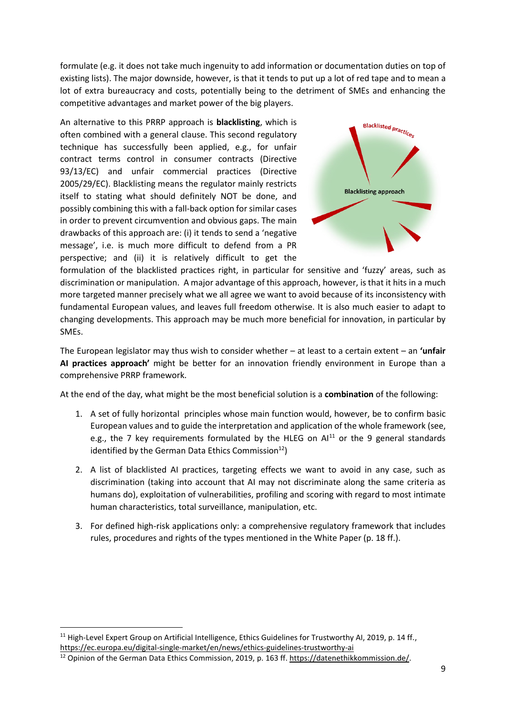formulate (e.g. it does not take much ingenuity to add information or documentation duties on top of existing lists). The major downside, however, is that it tends to put up a lot of red tape and to mean a lot of extra bureaucracy and costs, potentially being to the detriment of SMEs and enhancing the competitive advantages and market power of the big players.

An alternative to this PRRP approach is **blacklisting**, which is often combined with a general clause. This second regulatory technique has successfully been applied, e.g., for unfair contract terms control in consumer contracts (Directive 93/13/EC) and unfair commercial practices (Directive 2005/29/EC). Blacklisting means the regulator mainly restricts itself to stating what should definitely NOT be done, and possibly combining this with a fall-back option for similar cases in order to prevent circumvention and obvious gaps. The main drawbacks of this approach are: (i) it tends to send a 'negative message', i.e. is much more difficult to defend from a PR perspective; and (ii) it is relatively difficult to get the



formulation of the blacklisted practices right, in particular for sensitive and 'fuzzy' areas, such as discrimination or manipulation. A major advantage of this approach, however, is that it hits in a much more targeted manner precisely what we all agree we want to avoid because of its inconsistency with fundamental European values, and leaves full freedom otherwise. It is also much easier to adapt to changing developments. This approach may be much more beneficial for innovation, in particular by SMEs.

The European legislator may thus wish to consider whether – at least to a certain extent – an **'unfair AI practices approach'** might be better for an innovation friendly environment in Europe than a comprehensive PRRP framework.

At the end of the day, what might be the most beneficial solution is a **combination** of the following:

- 1. A set of fully horizontal principles whose main function would, however, be to confirm basic European values and to guide the interpretation and application of the whole framework (see, e.g., the 7 key requirements formulated by the HLEG on  $Al<sup>11</sup>$  or the 9 general standards identified by the German Data Ethics Commission $^{12}$ )
- <span id="page-8-0"></span>2. A list of blacklisted AI practices, targeting effects we want to avoid in any case, such as discrimination (taking into account that AI may not discriminate along the same criteria as humans do), exploitation of vulnerabilities, profiling and scoring with regard to most intimate human characteristics, total surveillance, manipulation, etc.
- 3. For defined high-risk applications only: a comprehensive regulatory framework that includes rules, procedures and rights of the types mentioned in the White Paper (p. 18 ff.).

<sup>&</sup>lt;sup>11</sup> High-Level Expert Group on Artificial Intelligence, Ethics Guidelines for Trustworthy AI, 2019, p. 14 ff., <https://ec.europa.eu/digital-single-market/en/news/ethics-guidelines-trustworthy-ai>

<sup>&</sup>lt;sup>12</sup> Opinion of the German Data Ethics Commission, 2019, p. 163 ff. [https://datenethikkommission.de/.](https://datenethikkommission.de/)